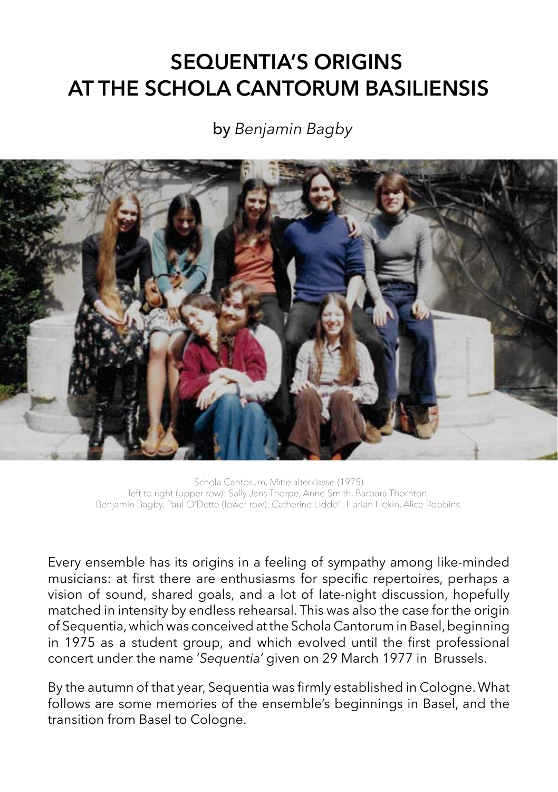## **SEQUENTIA'S ORIGINS AT THE SCHOLA CANTORUM BASILIENSIS**

## by *Benjamin Bagby*



Schola Cantorum, Mittelalterklasse (1975) left to right (upper row): Sally Jans-Thorpe, Anne Smith, Barbara Thornton, Benjamin Bagby, Paul O'Dette (lower row): Catherine Liddell, Harlan Hokin, Alice Robbins.

Every ensemble has its origins in a feeling of sympathy among like-minded musicians: at first there are enthusiasms for specific repertoires, perhaps a vision of sound, shared goals, and a lot of late-night discussion, hopefully matched in intensity by endless rehearsal. This was also the case for the origin of Sequentia, which was conceived at the Schola Cantorum in Basel, beginning in 1975 as a student group, and which evolved until the first professional concert under the name '*Sequentia'* given on 29 March 1977 in Brussels.

By the autumn of that year, Sequentia was firmly established in Cologne. What follows are some memories of the ensemble's beginnings in Basel, and the transition from Basel to Cologne.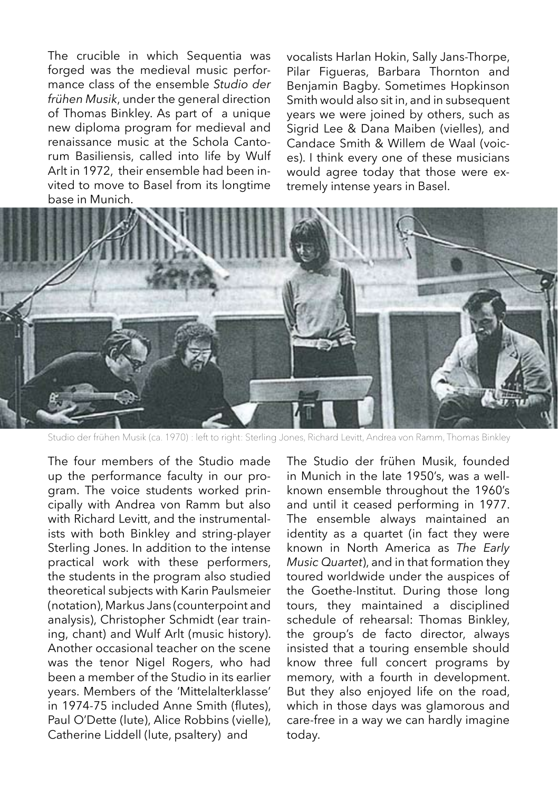The crucible in which Sequentia was forged was the medieval music performance class of the ensemble *Studio der frühen Musik*, under the general direction of Thomas Binkley. As part of a unique new diploma program for medieval and renaissance music at the Schola Cantorum Basiliensis, called into life by Wulf Arlt in 1972, their ensemble had been invited to move to Basel from its longtime base in Munich.

vocalists Harlan Hokin, Sally Jans-Thorpe, Pilar Figueras, Barbara Thornton and Benjamin Bagby. Sometimes Hopkinson Smith would also sit in, and in subsequent years we were joined by others, such as Sigrid Lee & Dana Maiben (vielles), and Candace Smith & Willem de Waal (voices). I think every one of these musicians would agree today that those were extremely intense years in Basel.



Studio der frühen Musik (ca. 1970) : left to right: Sterling Jones, Richard Levitt, Andrea von Ramm, Thomas Binkley

The four members of the Studio made up the performance faculty in our program. The voice students worked principally with Andrea von Ramm but also with Richard Levitt, and the instrumentalists with both Binkley and string-player Sterling Jones. In addition to the intense practical work with these performers, the students in the program also studied theoretical subjects with Karin Paulsmeier (notation), Markus Jans (counterpoint and analysis), Christopher Schmidt (ear training, chant) and Wulf Arlt (music history). Another occasional teacher on the scene was the tenor Nigel Rogers, who had been a member of the Studio in its earlier years. Members of the 'Mittelalterklasse' in 1974-75 included Anne Smith (flutes), Paul O'Dette (lute), Alice Robbins (vielle), Catherine Liddell (lute, psaltery) and

The Studio der frühen Musik, founded in Munich in the late 1950's, was a wellknown ensemble throughout the 1960's and until it ceased performing in 1977. The ensemble always maintained an identity as a quartet (in fact they were known in North America as *The Early Music Quartet*), and in that formation they toured worldwide under the auspices of the Goethe-Institut. During those long tours, they maintained a disciplined schedule of rehearsal: Thomas Binkley, the group's de facto director, always insisted that a touring ensemble should know three full concert programs by memory, with a fourth in development. But they also enjoyed life on the road, which in those days was glamorous and care-free in a way we can hardly imagine today.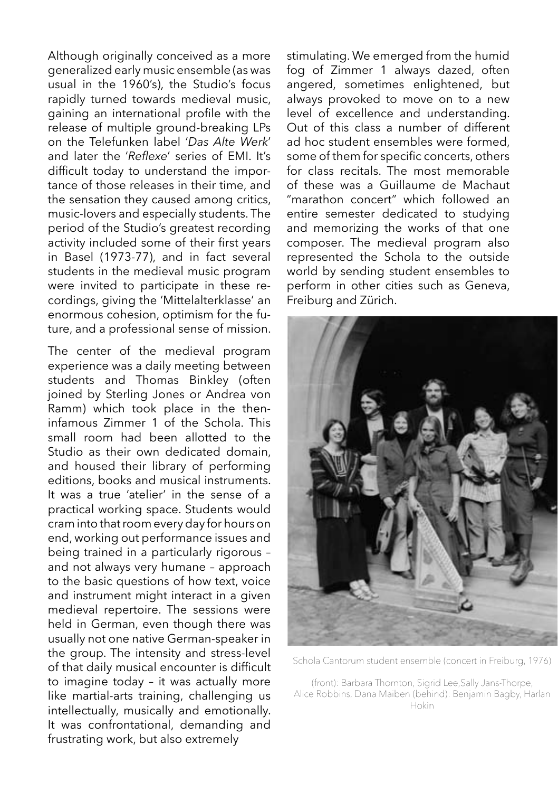Although originally conceived as a more generalized early music ensemble (as was usual in the 1960's), the Studio's focus rapidly turned towards medieval music, gaining an international profile with the release of multiple ground-breaking LPs on the Telefunken label '*Das Alte Werk*' and later the '*Reflexe*' series of EMI. It's difficult today to understand the importance of those releases in their time, and the sensation they caused among critics, music-lovers and especially students. The period of the Studio's greatest recording activity included some of their first years in Basel (1973-77), and in fact several students in the medieval music program were invited to participate in these recordings, giving the 'Mittelalterklasse' an enormous cohesion, optimism for the future, and a professional sense of mission.

The center of the medieval program experience was a daily meeting between students and Thomas Binkley (often joined by Sterling Jones or Andrea von Ramm) which took place in the theninfamous Zimmer 1 of the Schola. This small room had been allotted to the Studio as their own dedicated domain, and housed their library of performing editions, books and musical instruments. It was a true 'atelier' in the sense of a practical working space. Students would cram into that room every day for hours on end, working out performance issues and being trained in a particularly rigorous – and not always very humane – approach to the basic questions of how text, voice and instrument might interact in a given medieval repertoire. The sessions were held in German, even though there was usually not one native German-speaker in the group. The intensity and stress-level of that daily musical encounter is difficult to imagine today – it was actually more like martial-arts training, challenging us intellectually, musically and emotionally. It was confrontational, demanding and frustrating work, but also extremely

stimulating. We emerged from the humid fog of Zimmer 1 always dazed, often angered, sometimes enlightened, but always provoked to move on to a new level of excellence and understanding. Out of this class a number of different ad hoc student ensembles were formed, some of them for specific concerts, others for class recitals. The most memorable of these was a Guillaume de Machaut "marathon concert" which followed an entire semester dedicated to studying and memorizing the works of that one composer. The medieval program also represented the Schola to the outside world by sending student ensembles to perform in other cities such as Geneva, Freiburg and Zürich.



Schola Cantorum student ensemble (concert in Freiburg, 1976)

(front): Barbara Thornton, Sigrid Lee,Sally Jans-Thorpe, Alice Robbins, Dana Maiben (behind): Benjamin Bagby, Harlan Hokin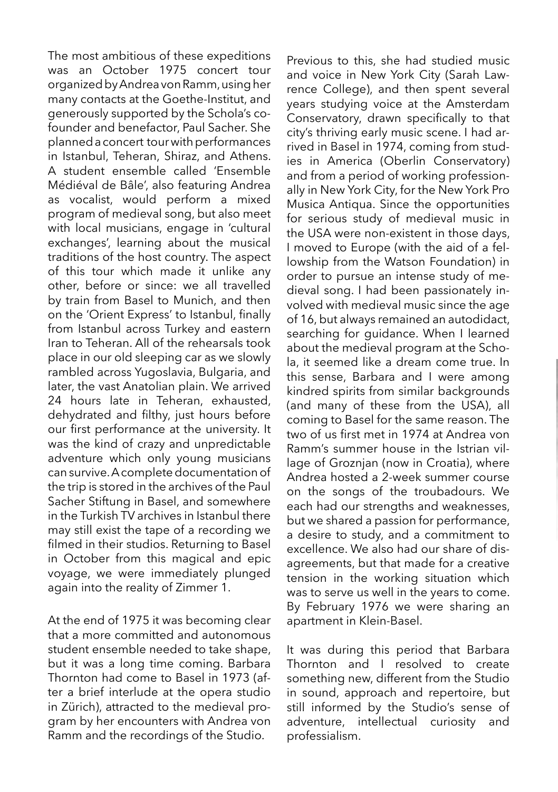The most ambitious of these expeditions was an October 1975 concert tour organized by Andrea von Ramm, using her many contacts at the Goethe-Institut, and generously supported by the Schola's cofounder and benefactor, Paul Sacher. She planned a concert tour with performances in Istanbul, Teheran, Shiraz, and Athens. A student ensemble called 'Ensemble Médiéval de Bâle', also featuring Andrea as vocalist, would perform a mixed program of medieval song, but also meet with local musicians, engage in 'cultural exchanges', learning about the musical traditions of the host country. The aspect of this tour which made it unlike any other, before or since: we all travelled by train from Basel to Munich, and then on the 'Orient Express' to Istanbul, finally from Istanbul across Turkey and eastern Iran to Teheran. All of the rehearsals took place in our old sleeping car as we slowly rambled across Yugoslavia, Bulgaria, and later, the vast Anatolian plain. We arrived 24 hours late in Teheran, exhausted, dehydrated and filthy, just hours before our first performance at the university. It was the kind of crazy and unpredictable adventure which only young musicians can survive. A complete documentation of the trip is stored in the archives of the Paul Sacher Stiftung in Basel, and somewhere in the Turkish TV archives in Istanbul there may still exist the tape of a recording we filmed in their studios. Returning to Basel in October from this magical and epic voyage, we were immediately plunged again into the reality of Zimmer 1.

At the end of 1975 it was becoming clear that a more committed and autonomous student ensemble needed to take shape, but it was a long time coming. Barbara Thornton had come to Basel in 1973 (after a brief interlude at the opera studio in Zürich), attracted to the medieval program by her encounters with Andrea von Ramm and the recordings of the Studio.

Previous to this, she had studied music and voice in New York City (Sarah Lawrence College), and then spent several years studying voice at the Amsterdam Conservatory, drawn specifically to that city's thriving early music scene. I had arrived in Basel in 1974, coming from studies in America (Oberlin Conservatory) and from a period of working professionally in New York City, for the New York Pro Musica Antiqua. Since the opportunities for serious study of medieval music in the USA were non-existent in those days, I moved to Europe (with the aid of a fellowship from the Watson Foundation) in order to pursue an intense study of medieval song. I had been passionately involved with medieval music since the age of 16, but always remained an autodidact, searching for guidance. When I learned about the medieval program at the Schola, it seemed like a dream come true. In this sense, Barbara and I were among kindred spirits from similar backgrounds (and many of these from the USA), all coming to Basel for the same reason. The two of us first met in 1974 at Andrea von Ramm's summer house in the Istrian village of Groznjan (now in Croatia), where Andrea hosted a 2-week summer course on the songs of the troubadours. We each had our strengths and weaknesses, but we shared a passion for performance, a desire to study, and a commitment to excellence. We also had our share of disagreements, but that made for a creative tension in the working situation which was to serve us well in the years to come. By February 1976 we were sharing an apartment in Klein-Basel.

It was during this period that Barbara Thornton and I resolved to create something new, different from the Studio in sound, approach and repertoire, but still informed by the Studio's sense of adventure, intellectual curiosity and professialism.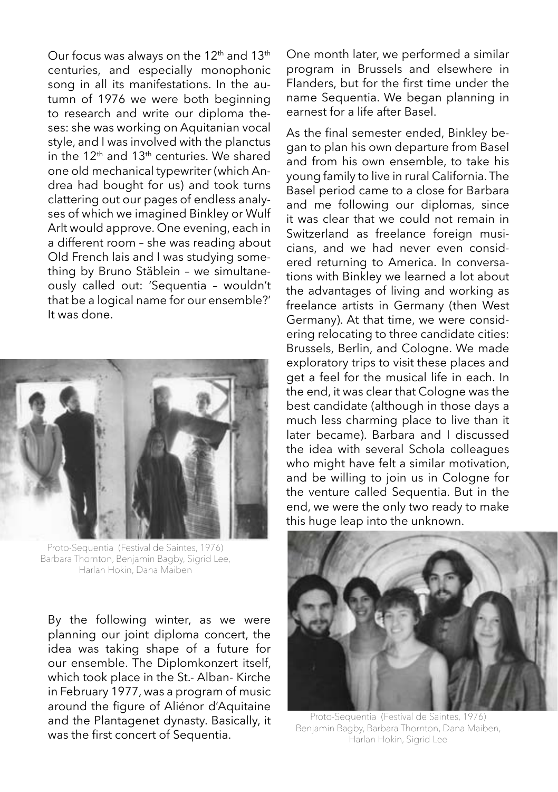Our focus was always on the 12<sup>th</sup> and 13<sup>th</sup> centuries, and especially monophonic song in all its manifestations. In the autumn of 1976 we were both beginning to research and write our diploma theses: she was working on Aquitanian vocal style, and I was involved with the planctus in the 12<sup>th</sup> and 13<sup>th</sup> centuries. We shared one old mechanical typewriter (which Andrea had bought for us) and took turns clattering out our pages of endless analyses of which we imagined Binkley or Wulf Arlt would approve. One evening, each in a different room – she was reading about Old French lais and I was studying something by Bruno Stäblein – we simultaneously called out: 'Sequentia – wouldn't that be a logical name for our ensemble?' It was done.



Proto-Sequentia (Festival de Saintes, 1976) Barbara Thornton, Benjamin Bagby, Sigrid Lee, Harlan Hokin, Dana Maiben

By the following winter, as we were planning our joint diploma concert, the idea was taking shape of a future for our ensemble. The Diplomkonzert itself, which took place in the St.- Alban- Kirche in February 1977, was a program of music around the figure of Aliénor d'Aquitaine and the Plantagenet dynasty. Basically, it was the first concert of Sequentia.

One month later, we performed a similar program in Brussels and elsewhere in Flanders, but for the first time under the name Sequentia. We began planning in earnest for a life after Basel.

As the final semester ended, Binkley began to plan his own departure from Basel and from his own ensemble, to take his young family to live in rural California. The Basel period came to a close for Barbara and me following our diplomas, since it was clear that we could not remain in Switzerland as freelance foreign musicians, and we had never even considered returning to America. In conversations with Binkley we learned a lot about the advantages of living and working as freelance artists in Germany (then West Germany). At that time, we were considering relocating to three candidate cities: Brussels, Berlin, and Cologne. We made exploratory trips to visit these places and get a feel for the musical life in each. In the end, it was clear that Cologne was the best candidate (although in those days a much less charming place to live than it later became). Barbara and I discussed the idea with several Schola colleagues who might have felt a similar motivation, and be willing to join us in Cologne for the venture called Sequentia. But in the end, we were the only two ready to make this huge leap into the unknown.



Proto-Sequentia (Festival de Saintes, 1976) Benjamin Bagby, Barbara Thornton, Dana Maiben, Harlan Hokin, Sigrid Lee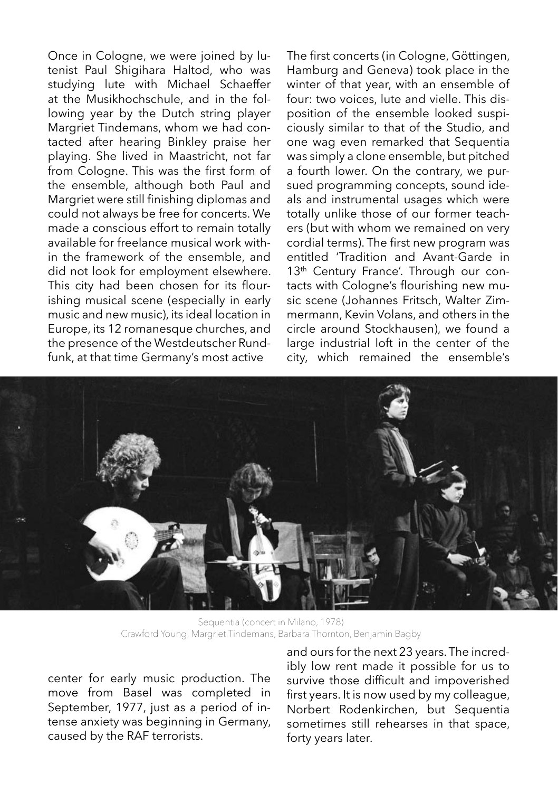Once in Cologne, we were joined by lutenist Paul Shigihara Haltod, who was studying lute with Michael Schaeffer at the Musikhochschule, and in the following year by the Dutch string player Margriet Tindemans, whom we had contacted after hearing Binkley praise her playing. She lived in Maastricht, not far from Cologne. This was the first form of the ensemble, although both Paul and Margriet were still finishing diplomas and could not always be free for concerts. We made a conscious effort to remain totally available for freelance musical work within the framework of the ensemble, and did not look for employment elsewhere. This city had been chosen for its flourishing musical scene (especially in early music and new music), its ideal location in Europe, its 12 romanesque churches, and the presence of the Westdeutscher Rundfunk, at that time Germany's most active

The first concerts (in Cologne, Göttingen, Hamburg and Geneva) took place in the winter of that year, with an ensemble of four: two voices, lute and vielle. This disposition of the ensemble looked suspiciously similar to that of the Studio, and one wag even remarked that Sequentia was simply a clone ensemble, but pitched a fourth lower. On the contrary, we pursued programming concepts, sound ideals and instrumental usages which were totally unlike those of our former teachers (but with whom we remained on very cordial terms). The first new program was entitled 'Tradition and Avant-Garde in 13<sup>th</sup> Century France'. Through our contacts with Cologne's flourishing new music scene (Johannes Fritsch, Walter Zimmermann, Kevin Volans, and others in the circle around Stockhausen), we found a large industrial loft in the center of the city, which remained the ensemble's



Sequentia (concert in Milano, 1978) Crawford Young, Margriet Tindemans, Barbara Thornton, Benjamin Bagby

center for early music production. The move from Basel was completed in September, 1977, just as a period of intense anxiety was beginning in Germany, caused by the RAF terrorists.

and ours for the next 23 years. The incredibly low rent made it possible for us to survive those difficult and impoverished first years. It is now used by my colleague, Norbert Rodenkirchen, but Sequentia sometimes still rehearses in that space, forty years later.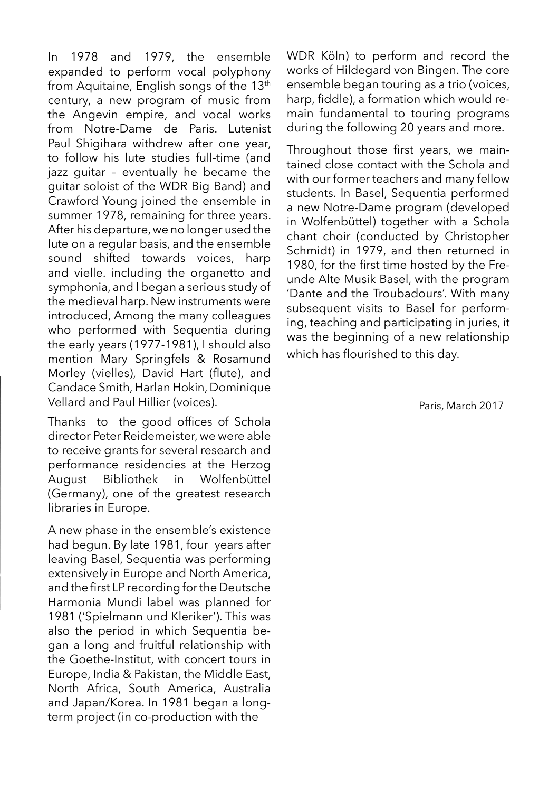In 1978 and 1979, the ensemble expanded to perform vocal polyphony from Aquitaine, English songs of the 13<sup>th</sup> century, a new program of music from the Angevin empire, and vocal works from Notre-Dame de Paris. Lutenist Paul Shigihara withdrew after one year, to follow his lute studies full-time (and jazz guitar – eventually he became the guitar soloist of the WDR Big Band) and Crawford Young joined the ensemble in summer 1978, remaining for three years. After his departure, we no longer used the Iute on a regular basis, and the ensemble sound shifted towards voices, harp and vielle. including the organetto and symphonia, and I began a serious study of the medieval harp. New instruments were introduced, Among the many colleagues who performed with Sequentia during the early years (1977-1981), I should also mention Mary Springfels & Rosamund Morley (vielles), David Hart (flute), and Candace Smith, Harlan Hokin, Dominique Vellard and Paul Hillier (voices).

Thanks to the good offices of Schola director Peter Reidemeister, we were able to receive grants for several research and performance residencies at the Herzog August Bibliothek in Wolfenbüttel (Germany), one of the greatest research libraries in Europe.

A new phase in the ensemble's existence had begun. By late 1981, four years after leaving Basel, Sequentia was performing extensively in Europe and North America, and the first LP recording for the Deutsche Harmonia Mundi label was planned for 1981 ('Spielmann und Kleriker'). This was also the period in which Sequentia began a long and fruitful relationship with the Goethe-Institut, with concert tours in Europe, India & Pakistan, the Middle East, North Africa, South America, Australia and Japan/Korea. In 1981 began a longterm project (in co-production with the

WDR Köln) to perform and record the works of Hildegard von Bingen. The core ensemble began touring as a trio (voices, harp, fiddle), a formation which would remain fundamental to touring programs during the following 20 years and more.

Throughout those first years, we maintained close contact with the Schola and with our former teachers and many fellow students. In Basel, Sequentia performed a new Notre-Dame program (developed in Wolfenbüttel) together with a Schola chant choir (conducted by Christopher Schmidt) in 1979, and then returned in 1980, for the first time hosted by the Freunde Alte Musik Basel, with the program 'Dante and the Troubadours'. With many subsequent visits to Basel for performing, teaching and participating in juries, it was the beginning of a new relationship which has flourished to this day.

Paris, March 2017